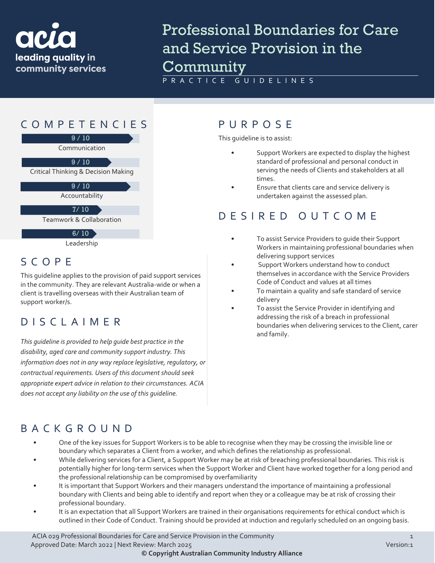

# Professional Boundaries for Care and Service Provision in the Community

PRACTICE GUIDELINES



Leadership

# SCOPE

This guideline applies to the provision of paid support services in the community. They are relevant Australia-wide or when a client is travelling overseas with their Australian team of support worker/s.

### DISCLAIMER

*This guideline is provided to help guide best practice in the disability, aged care and community support industry. This information does not in any way replace legislative, regulatory, or contractual requirements. Users of this document should seek appropriate expert advice in relation to their circumstances. ACIA does not accept any liability on the use of this guideline.*

#### COMPETENCIES PURPOS E

This guideline is to assist:

- Support Workers are expected to display the highest standard of professional and personal conduct in serving the needs of Clients and stakeholders at all times.
- Ensure that clients care and service delivery is undertaken against the assessed plan.

#### DESIRE D OUTCOME

- To assist Service Providers to quide their Support Workers in maintaining professional boundaries when delivering support services
- Support Workers understand how to conduct themselves in accordance with the Service Providers Code of Conduct and values at all times
- To maintain a quality and safe standard of service delivery
- To assist the Service Provider in identifying and addressing the risk of a breach in professional boundaries when delivering services to the Client, carer and family.

#### BACKGROUND

- One of the key issues for Support Workers is to be able to recognise when they may be crossing the invisible line or boundary which separates a Client from a worker, and which defines the relationship as professional.
- While delivering services for a Client, a Support Worker may be at risk of breaching professional boundaries. This risk is potentially higher for long-term services when the Support Worker and Client have worked together for a long period and the professional relationship can be compromised by overfamiliarity
- It is important that Support Workers and their managers understand the importance of maintaining a professional boundary with Clients and being able to identify and report when they or a colleague may be at risk of crossing their professional boundary.
- It is an expectation that all Support Workers are trained in their organisations requirements for ethical conduct which is outlined in their Code of Conduct. Training should be provided at induction and regularly scheduled on an ongoing basis.

ACIA 029 Professional Boundaries for Care and Service Provision in the Community 1 Approved Date: March 2022 | Next Review: March 2025 Version:1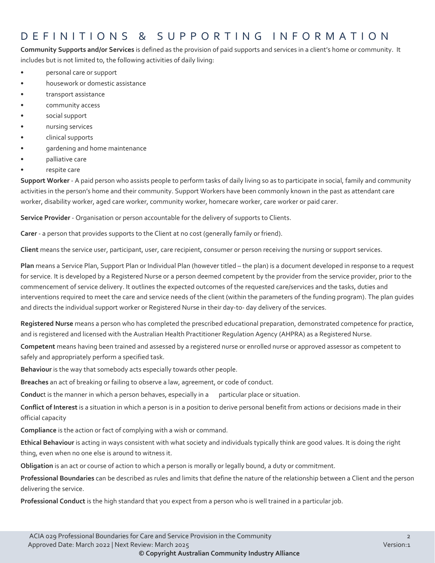#### DEFINITIONS & SUPPORTING INFORMATIO N

**Community Supports and/or Services** is defined as the provision of paid supports and services in a client's home or community. It includes but is not limited to, the following activities of daily living:

- personal care or support
- housework or domestic assistance
- transport assistance
- community access
- social support
- nursing services
- clinical supports
- gardening and home maintenance
- palliative care
- respite care

**Support Worker** - A paid person who assists people to perform tasks of daily living so as to participate in social, family and community activities in the person's home and their community. Support Workers have been commonly known in the past as attendant care worker, disability worker, aged care worker, community worker, homecare worker, care worker or paid carer.

**Service Provider** - Organisation or person accountable for the delivery of supports to Clients.

**Carer** - a person that provides supports to the Client at no cost (generally family or friend).

**Client** means the service user, participant, user, care recipient, consumer or person receiving the nursing or support services.

**Plan** means a Service Plan, Support Plan or Individual Plan (however titled – the plan) is a document developed in response to a request for service. It is developed by a Registered Nurse or a person deemed competent by the provider from the service provider, prior to the commencement of service delivery. It outlines the expected outcomes of the requested care/services and the tasks, duties and interventions required to meet the care and service needs of the client (within the parameters of the funding program). The plan guides and directs the individual support worker or Registered Nurse in their day-to- day delivery of the services.

**Registered Nurse** means a person who has completed the prescribed educational preparation, demonstrated competence for practice, and is registered and licensed with the Australian Health Practitioner Regulation Agency (AHPRA) as a Registered Nurse.

**Competent** means having been trained and assessed by a registered nurse or enrolled nurse or approved assessor as competent to safely and appropriately perform a specified task.

**Behaviour** is the way that somebody acts especially towards other people.

**Breaches** an act of breaking or failing to observe a law, agreement, or code of conduct.

**Conduct** is the manner in which a person behaves, especially in a particular place or situation.

**Conflict of Interest** is a situation in which a person is in a position to derive personal benefit from actions or decisions made in their official capacity

**Compliance** is the action or fact of complying with a wish or command.

**Ethical Behaviour** is acting in ways consistent with what society and individuals typically think are good values. It is doing the right thing, even when no one else is around to witness it.

**Obligation** is an act or course of action to which a person is morally or legally bound, a duty or commitment.

**Professional Boundaries** can be described as rules and limits that define the nature of the relationship between a Client and the person delivering the service.

**Professional Conduct** is the high standard that you expect from a person who is well trained in a particular job.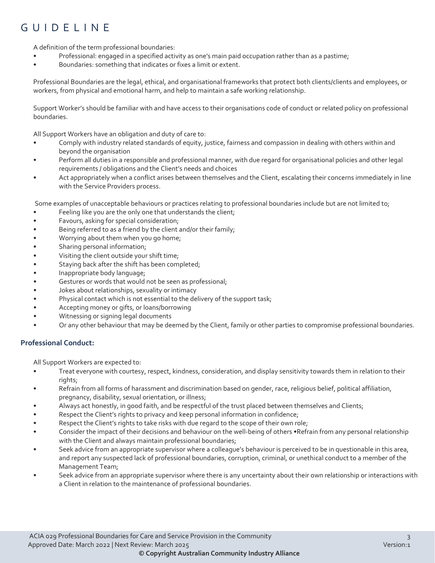### GUIDELINE

A definition of the term professional boundaries:

- Professional: engaged in a specified activity as one's main paid occupation rather than as a pastime;
- Boundaries: something that indicates or fixes a limit or extent.

Professional Boundaries are the legal, ethical, and organisational frameworks that protect both clients/clients and employees, or workers, from physical and emotional harm, and help to maintain a safe working relationship.

Support Worker's should be familiar with and have access to their organisations code of conduct or related policy on professional boundaries.

All Support Workers have an obligation and duty of care to:

- Comply with industry related standards of equity, justice, fairness and compassion in dealing with others within and beyond the organisation
- Perform all duties in a responsible and professional manner, with due regard for organisational policies and other legal requirements / obligations and the Client's needs and choices
- Act appropriately when a conflict arises between themselves and the Client, escalating their concerns immediately in line with the Service Providers process.

Some examples of unacceptable behaviours or practices relating to professional boundaries include but are not limited to;

- Feeling like you are the only one that understands the client;
- Favours, asking for special consideration;
- Being referred to as a friend by the client and/or their family;
- Worrying about them when you go home;
- Sharing personal information;
- Visiting the client outside your shift time;
- Staying back after the shift has been completed;
- Inappropriate body language;
- Gestures or words that would not be seen as professional;
- Jokes about relationships, sexuality or intimacy
- Physical contact which is not essential to the delivery of the support task;
- Accepting money or gifts, or loans/borrowing
- Witnessing or signing legal documents
- Or any other behaviour that may be deemed by the Client, family or other parties to compromise professional boundaries.

#### **Professional Conduct:**

All Support Workers are expected to:

- Treat everyone with courtesy, respect, kindness, consideration, and display sensitivity towards them in relation to their rights;
- Refrain from all forms of harassment and discrimination based on gender, race, religious belief, political affiliation, pregnancy, disability, sexual orientation, or illness;
- Always act honestly, in good faith, and be respectful of the trust placed between themselves and Clients;
- Respect the Client's rights to privacy and keep personal information in confidence;
- Respect the Client's rights to take risks with due regard to the scope of their own role;
- Consider the impact of their decisions and behaviour on the well-being of others •Refrain from any personal relationship with the Client and always maintain professional boundaries;
- Seek advice from an appropriate supervisor where a colleague's behaviour is perceived to be in questionable in this area, and report any suspected lack of professional boundaries, corruption, criminal, or unethical conduct to a member of the Management Team;
- Seek advice from an appropriate supervisor where there is any uncertainty about their own relationship or interactions with a Client in relation to the maintenance of professional boundaries.